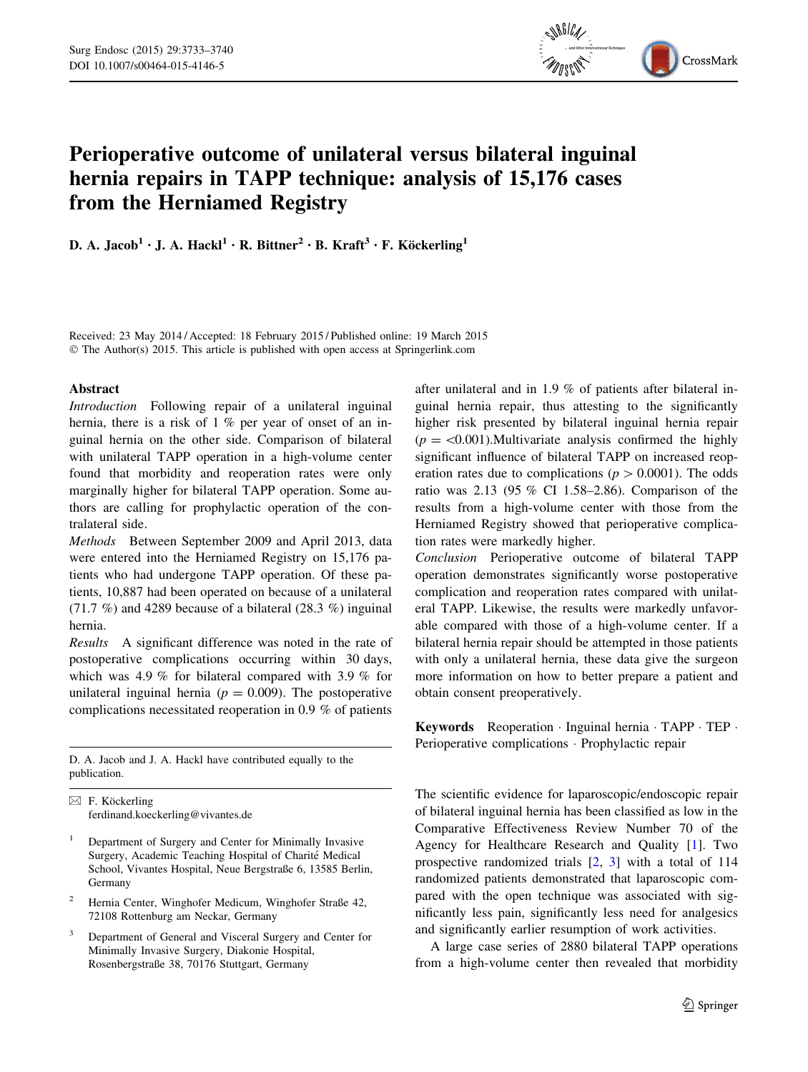

# Perioperative outcome of unilateral versus bilateral inguinal hernia repairs in TAPP technique: analysis of 15,176 cases from the Herniamed Registry

D. A. Jacob<sup>1</sup> • J. A. Hackl<sup>1</sup> • R. Bittner<sup>2</sup> • B. Kraft<sup>3</sup> • F. Köckerling<sup>1</sup>

Received: 23 May 2014 / Accepted: 18 February 2015 / Published online: 19 March 2015 © The Author(s) 2015. This article is published with open access at Springerlink.com

## Abstract

Introduction Following repair of a unilateral inguinal hernia, there is a risk of 1 % per year of onset of an inguinal hernia on the other side. Comparison of bilateral with unilateral TAPP operation in a high-volume center found that morbidity and reoperation rates were only marginally higher for bilateral TAPP operation. Some authors are calling for prophylactic operation of the contralateral side.

Methods Between September 2009 and April 2013, data were entered into the Herniamed Registry on 15,176 patients who had undergone TAPP operation. Of these patients, 10,887 had been operated on because of a unilateral  $(71.7\%)$  and 4289 because of a bilateral  $(28.3\%)$  inguinal hernia.

Results A significant difference was noted in the rate of postoperative complications occurring within 30 days, which was 4.9 % for bilateral compared with 3.9 % for unilateral inguinal hernia ( $p = 0.009$ ). The postoperative complications necessitated reoperation in 0.9 % of patients

D. A. Jacob and J. A. Hackl have contributed equally to the publication.

 $\boxtimes$  F. Köckerling ferdinand.koeckerling@vivantes.de

- <sup>1</sup> Department of Surgery and Center for Minimally Invasive Surgery, Academic Teaching Hospital of Charité Medical School, Vivantes Hospital, Neue Bergstraße 6, 13585 Berlin, Germany
- <sup>2</sup> Hernia Center, Winghofer Medicum, Winghofer Straße 42, 72108 Rottenburg am Neckar, Germany
- <sup>3</sup> Department of General and Visceral Surgery and Center for Minimally Invasive Surgery, Diakonie Hospital, Rosenbergstraße 38, 70176 Stuttgart, Germany

after unilateral and in 1.9 % of patients after bilateral inguinal hernia repair, thus attesting to the significantly higher risk presented by bilateral inguinal hernia repair  $(p = \langle 0.001 \rangle)$ . Multivariate analysis confirmed the highly significant influence of bilateral TAPP on increased reoperation rates due to complications ( $p > 0.0001$ ). The odds ratio was 2.13 (95 % CI 1.58–2.86). Comparison of the results from a high-volume center with those from the Herniamed Registry showed that perioperative complication rates were markedly higher.

Conclusion Perioperative outcome of bilateral TAPP operation demonstrates significantly worse postoperative complication and reoperation rates compared with unilateral TAPP. Likewise, the results were markedly unfavorable compared with those of a high-volume center. If a bilateral hernia repair should be attempted in those patients with only a unilateral hernia, these data give the surgeon more information on how to better prepare a patient and obtain consent preoperatively.

Keywords Reoperation · Inguinal hernia · TAPP · TEP · Perioperative complications · Prophylactic repair

The scientific evidence for laparoscopic/endoscopic repair of bilateral inguinal hernia has been classified as low in the Comparative Effectiveness Review Number 70 of the Agency for Healthcare Research and Quality [[1\]](#page-7-0). Two prospective randomized trials [\[2](#page-7-0), [3](#page-7-0)] with a total of 114 randomized patients demonstrated that laparoscopic compared with the open technique was associated with significantly less pain, significantly less need for analgesics and significantly earlier resumption of work activities.

A large case series of 2880 bilateral TAPP operations from a high-volume center then revealed that morbidity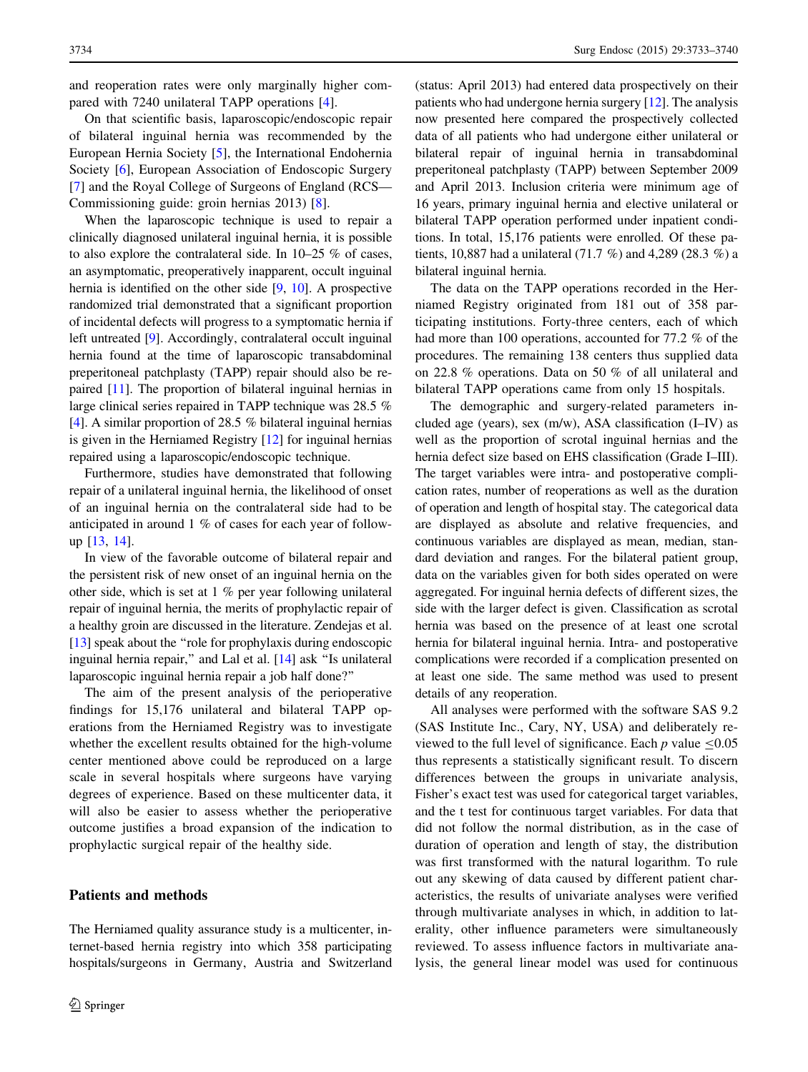and reoperation rates were only marginally higher compared with 7240 unilateral TAPP operations [\[4](#page-7-0)].

On that scientific basis, laparoscopic/endoscopic repair of bilateral inguinal hernia was recommended by the European Hernia Society [\[5](#page-7-0)], the International Endohernia Society [\[6](#page-7-0)], European Association of Endoscopic Surgery [\[7](#page-7-0)] and the Royal College of Surgeons of England (RCS— Commissioning guide: groin hernias 2013) [[8\]](#page-7-0).

When the laparoscopic technique is used to repair a clinically diagnosed unilateral inguinal hernia, it is possible to also explore the contralateral side. In 10–25 % of cases, an asymptomatic, preoperatively inapparent, occult inguinal hernia is identified on the other side [[9,](#page-7-0) [10](#page-7-0)]. A prospective randomized trial demonstrated that a significant proportion of incidental defects will progress to a symptomatic hernia if left untreated [[9\]](#page-7-0). Accordingly, contralateral occult inguinal hernia found at the time of laparoscopic transabdominal preperitoneal patchplasty (TAPP) repair should also be repaired [\[11](#page-7-0)]. The proportion of bilateral inguinal hernias in large clinical series repaired in TAPP technique was 28.5 % [\[4](#page-7-0)]. A similar proportion of 28.5 % bilateral inguinal hernias is given in the Herniamed Registry [[12\]](#page-7-0) for inguinal hernias repaired using a laparoscopic/endoscopic technique.

Furthermore, studies have demonstrated that following repair of a unilateral inguinal hernia, the likelihood of onset of an inguinal hernia on the contralateral side had to be anticipated in around 1 % of cases for each year of followup [[13,](#page-7-0) [14](#page-7-0)].

In view of the favorable outcome of bilateral repair and the persistent risk of new onset of an inguinal hernia on the other side, which is set at 1 % per year following unilateral repair of inguinal hernia, the merits of prophylactic repair of a healthy groin are discussed in the literature. Zendejas et al. [\[13](#page-7-0)] speak about the "role for prophylaxis during endoscopic inguinal hernia repair,'' and Lal et al. [\[14\]](#page-7-0) ask ''Is unilateral laparoscopic inguinal hernia repair a job half done?''

The aim of the present analysis of the perioperative findings for 15,176 unilateral and bilateral TAPP operations from the Herniamed Registry was to investigate whether the excellent results obtained for the high-volume center mentioned above could be reproduced on a large scale in several hospitals where surgeons have varying degrees of experience. Based on these multicenter data, it will also be easier to assess whether the perioperative outcome justifies a broad expansion of the indication to prophylactic surgical repair of the healthy side.

# Patients and methods

The Herniamed quality assurance study is a multicenter, internet-based hernia registry into which 358 participating hospitals/surgeons in Germany, Austria and Switzerland (status: April 2013) had entered data prospectively on their patients who had undergone hernia surgery [\[12\]](#page-7-0). The analysis now presented here compared the prospectively collected data of all patients who had undergone either unilateral or bilateral repair of inguinal hernia in transabdominal preperitoneal patchplasty (TAPP) between September 2009 and April 2013. Inclusion criteria were minimum age of 16 years, primary inguinal hernia and elective unilateral or bilateral TAPP operation performed under inpatient conditions. In total, 15,176 patients were enrolled. Of these patients, 10,887 had a unilateral (71.7 %) and 4,289 (28.3 %) a bilateral inguinal hernia.

The data on the TAPP operations recorded in the Herniamed Registry originated from 181 out of 358 participating institutions. Forty-three centers, each of which had more than 100 operations, accounted for 77.2 % of the procedures. The remaining 138 centers thus supplied data on 22.8 % operations. Data on 50 % of all unilateral and bilateral TAPP operations came from only 15 hospitals.

The demographic and surgery-related parameters included age (years), sex (m/w), ASA classification (I–IV) as well as the proportion of scrotal inguinal hernias and the hernia defect size based on EHS classification (Grade I–III). The target variables were intra- and postoperative complication rates, number of reoperations as well as the duration of operation and length of hospital stay. The categorical data are displayed as absolute and relative frequencies, and continuous variables are displayed as mean, median, standard deviation and ranges. For the bilateral patient group, data on the variables given for both sides operated on were aggregated. For inguinal hernia defects of different sizes, the side with the larger defect is given. Classification as scrotal hernia was based on the presence of at least one scrotal hernia for bilateral inguinal hernia. Intra- and postoperative complications were recorded if a complication presented on at least one side. The same method was used to present details of any reoperation.

All analyses were performed with the software SAS 9.2 (SAS Institute Inc., Cary, NY, USA) and deliberately reviewed to the full level of significance. Each p value  $\leq 0.05$ thus represents a statistically significant result. To discern differences between the groups in univariate analysis, Fisher's exact test was used for categorical target variables, and the t test for continuous target variables. For data that did not follow the normal distribution, as in the case of duration of operation and length of stay, the distribution was first transformed with the natural logarithm. To rule out any skewing of data caused by different patient characteristics, the results of univariate analyses were verified through multivariate analyses in which, in addition to laterality, other influence parameters were simultaneously reviewed. To assess influence factors in multivariate analysis, the general linear model was used for continuous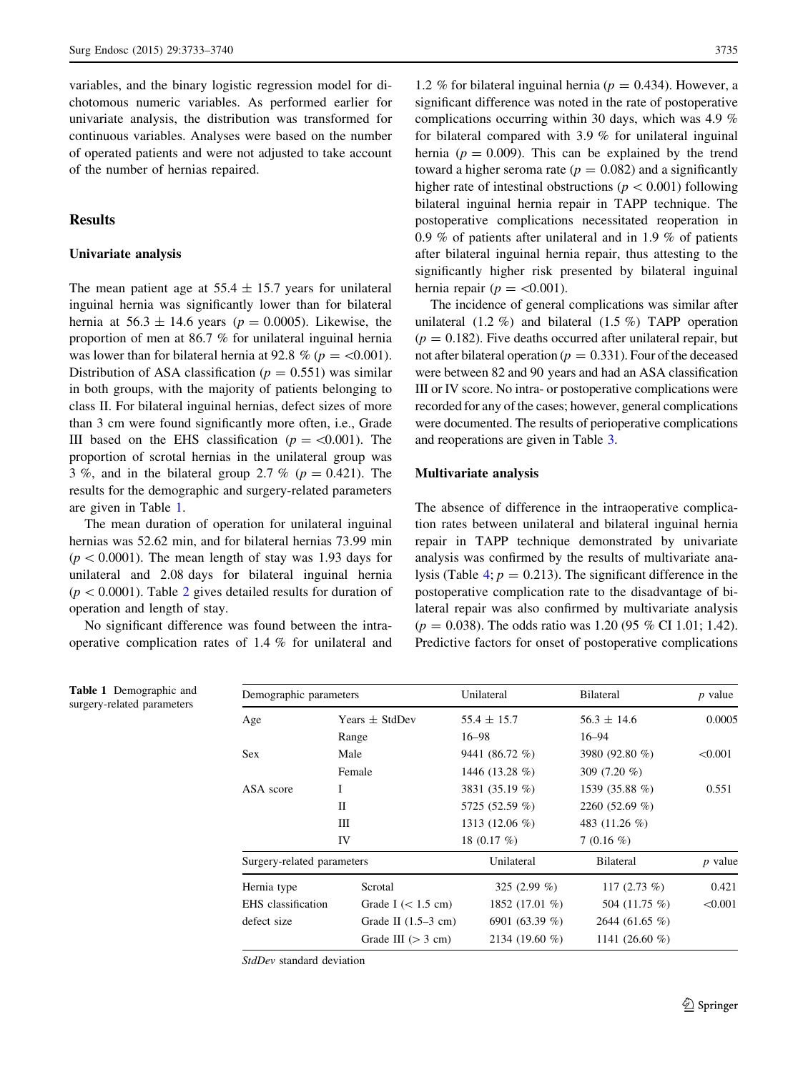variables, and the binary logistic regression model for dichotomous numeric variables. As performed earlier for univariate analysis, the distribution was transformed for continuous variables. Analyses were based on the number of operated patients and were not adjusted to take account of the number of hernias repaired.

## **Results**

#### Univariate analysis

Table 1 Demographic and surgery-related parameters

The mean patient age at  $55.4 \pm 15.7$  years for unilateral inguinal hernia was significantly lower than for bilateral hernia at  $56.3 \pm 14.6$  years ( $p = 0.0005$ ). Likewise, the proportion of men at 86.7 % for unilateral inguinal hernia was lower than for bilateral hernia at 92.8 % ( $p = \langle 0.001 \rangle$ ). Distribution of ASA classification ( $p = 0.551$ ) was similar in both groups, with the majority of patients belonging to class II. For bilateral inguinal hernias, defect sizes of more than 3 cm were found significantly more often, i.e., Grade III based on the EHS classification ( $p = \langle 0.001 \rangle$ ). The proportion of scrotal hernias in the unilateral group was 3 %, and in the bilateral group 2.7 % ( $p = 0.421$ ). The results for the demographic and surgery-related parameters are given in Table 1.

The mean duration of operation for unilateral inguinal hernias was 52.62 min, and for bilateral hernias 73.99 min  $(p<0.0001)$ . The mean length of stay was 1.93 days for unilateral and 2.08 days for bilateral inguinal hernia  $(p<0.0001)$ . Table [2](#page-3-0) gives detailed results for duration of operation and length of stay.

No significant difference was found between the intraoperative complication rates of 1.4 % for unilateral and

1.2 % for bilateral inguinal hernia ( $p = 0.434$ ). However, a significant difference was noted in the rate of postoperative complications occurring within 30 days, which was 4.9 % for bilateral compared with 3.9 % for unilateral inguinal hernia ( $p = 0.009$ ). This can be explained by the trend toward a higher seroma rate ( $p = 0.082$ ) and a significantly higher rate of intestinal obstructions ( $p < 0.001$ ) following bilateral inguinal hernia repair in TAPP technique. The postoperative complications necessitated reoperation in 0.9 % of patients after unilateral and in 1.9 % of patients after bilateral inguinal hernia repair, thus attesting to the significantly higher risk presented by bilateral inguinal hernia repair ( $p = \langle 0.001 \rangle$ .

The incidence of general complications was similar after unilateral (1.2 %) and bilateral (1.5 %) TAPP operation  $(p = 0.182)$ . Five deaths occurred after unilateral repair, but not after bilateral operation ( $p = 0.331$ ). Four of the deceased were between 82 and 90 years and had an ASA classification III or IV score. No intra- or postoperative complications were recorded for any of the cases; however, general complications were documented. The results of perioperative complications and reoperations are given in Table [3.](#page-3-0)

#### Multivariate analysis

The absence of difference in the intraoperative complication rates between unilateral and bilateral inguinal hernia repair in TAPP technique demonstrated by univariate analysis was confirmed by the results of multivariate ana-lysis (Table [4](#page-4-0);  $p = 0.213$ ). The significant difference in the postoperative complication rate to the disadvantage of bilateral repair was also confirmed by multivariate analysis  $(p = 0.038)$ . The odds ratio was 1.20 (95 % CI 1.01; 1.42). Predictive factors for onset of postoperative complications

| Demographic parameters     |                       | Unilateral      | <b>Bilateral</b>                                  | $p$ value |
|----------------------------|-----------------------|-----------------|---------------------------------------------------|-----------|
| Age                        | Years $\pm$ StdDev    | $55.4 \pm 15.7$ | $56.3 \pm 14.6$                                   | 0.0005    |
|                            | Range                 | $16 - 98$       | $16 - 94$                                         |           |
| Sex.                       | Male                  | 9441 (86.72 %)  | 3980 (92.80 %)                                    | < 0.001   |
|                            | Female                | 1446 (13.28 %)  | 309 $(7.20\%$                                     |           |
| ASA score                  | I                     | 3831 (35.19 %)  | 1539 (35.88 %)                                    | 0.551     |
|                            | П                     | 5725 (52.59 %)  | 2260 $(52.69\% )$<br>483 (11.26 %)<br>$7(0.16\%)$ |           |
|                            | Ш                     | 1313 (12.06 %)  |                                                   |           |
|                            | IV                    | 18 $(0.17\%)$   |                                                   |           |
| Surgery-related parameters |                       | Unilateral      | <b>Bilateral</b>                                  | $p$ value |
| Hernia type                | Scrotal               | 325 $(2.99\%)$  | 117 $(2.73\%)$                                    | 0.421     |
| EHS classification         | Grade I $(< 1.5$ cm)  | 1852 (17.01 %)  | 504 (11.75 %)                                     | < 0.001   |
| defect size                | Grade II $(1.5-3$ cm) | 6901 (63.39 %)  | 2644 (61.65 %)                                    |           |
|                            | Grade III $(> 3 cm)$  | 2134 (19.60 %)  | 1141 (26.60 %)                                    |           |

StdDev standard deviation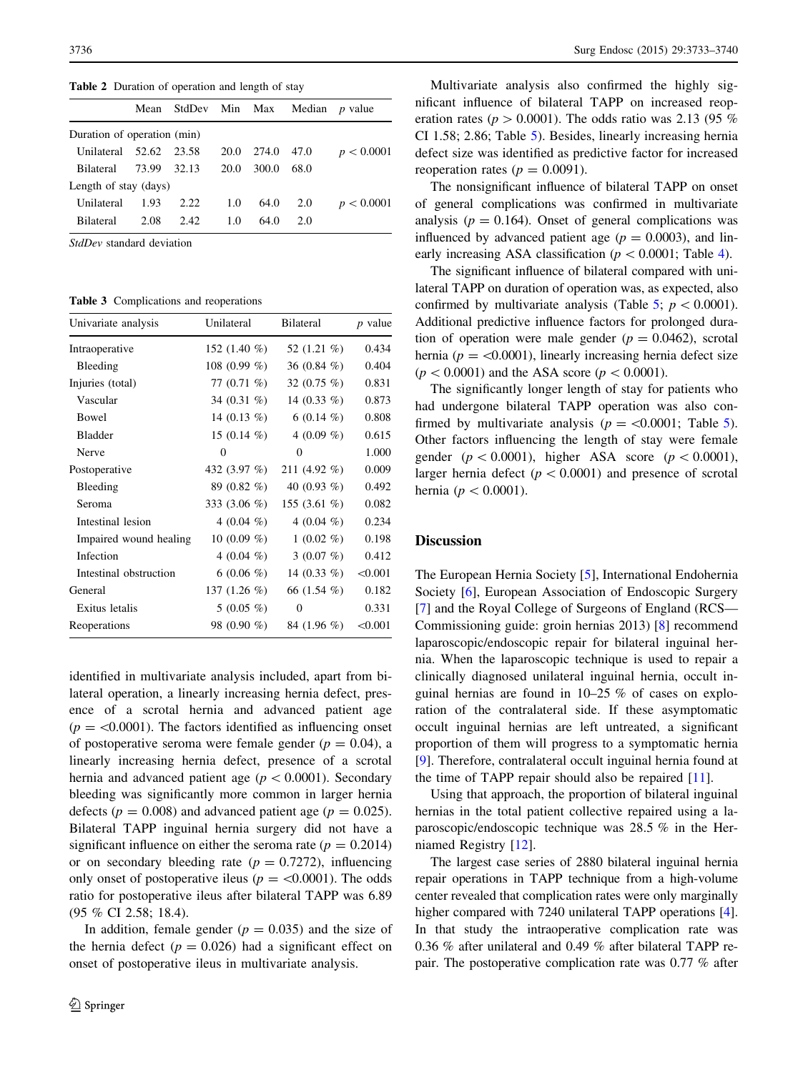<span id="page-3-0"></span>Table 2 Duration of operation and length of stay

|                             |       |         |      |       | Mean StdDev Min Max Median | <i>p</i> value |
|-----------------------------|-------|---------|------|-------|----------------------------|----------------|
| Duration of operation (min) |       |         |      |       |                            |                |
| Unilateral 52.62            |       | - 23.58 | 20.0 | 274.0 | 47.0                       | p < 0.0001     |
| <b>Bilateral</b>            | 73.99 | 32.13   | 20.0 | 300.0 | 68.0                       |                |
| Length of stay (days)       |       |         |      |       |                            |                |
| Unilateral                  | 1.93  | 2.22.   | 1.0  | 64.0  | 2.0                        | p < 0.0001     |
| <b>Bilateral</b>            | 2.08  | 2.42.   | 1.0  | 64.0  | 20                         |                |
|                             |       |         |      |       |                            |                |

StdDev standard deviation

Table 3 Complications and reoperations

| Univariate analysis    | Unilateral      | <b>Bilateral</b> | $p$ value |
|------------------------|-----------------|------------------|-----------|
| Intraoperative         | 152 $(1.40\%$   | 52 $(1.21\%)$    | 0.434     |
| Bleeding               | 108 (0.99 $%$ ) | 36 (0.84 $%$ )   | 0.404     |
| Injuries (total)       | 77 $(0.71\%)$   | 32 $(0.75\%)$    | 0.831     |
| Vascular               | 34 $(0.31\%)$   | 14 $(0.33\%)$    | 0.873     |
| Bowel                  | 14 (0.13 $%$ )  | 6 (0.14 $%$ )    | 0.808     |
| <b>Bladder</b>         | 15 (0.14 $%$ )  | 4 (0.09 %)       | 0.615     |
| Nerve                  | $\Omega$        | $\Omega$         | 1.000     |
| Postoperative          | 432 $(3.97\%)$  | 211 (4.92 $%$ )  | 0.009     |
| Bleeding               | 89 (0.82 %)     | 40 $(0.93\%)$    | 0.492     |
| Seroma                 | 333 $(3.06\%)$  | 155 (3.61 $%$ )  | 0.082     |
| Intestinal lesion      | 4 $(0.04\%)$    | 4 (0.04 $%$ )    | 0.234     |
| Impaired wound healing | 10 (0.09 $%$ )  | $1(0.02\% )$     | 0.198     |
| Infection              | 4 (0.04 $%$ )   | 3 $(0.07 \%)$    | 0.412     |
| Intestinal obstruction | 6 (0.06 $%$ )   | 14 $(0.33\%)$    | < 0.001   |
| General                | 137 $(1.26 \%)$ | 66 (1.54 %)      | 0.182     |
| Exitus letalis         | $5(0.05\%)$     | 0                | 0.331     |
| Reoperations           | 98 (0.90 %)     | 84 (1.96 %)      | < 0.001   |

identified in multivariate analysis included, apart from bilateral operation, a linearly increasing hernia defect, presence of a scrotal hernia and advanced patient age  $(p = 0.0001)$ . The factors identified as influencing onset of postoperative seroma were female gender ( $p = 0.04$ ), a linearly increasing hernia defect, presence of a scrotal hernia and advanced patient age ( $p<0.0001$ ). Secondary bleeding was significantly more common in larger hernia defects ( $p = 0.008$ ) and advanced patient age ( $p = 0.025$ ). Bilateral TAPP inguinal hernia surgery did not have a significant influence on either the seroma rate ( $p = 0.2014$ ) or on secondary bleeding rate  $(p = 0.7272)$ , influencing only onset of postoperative ileus ( $p = < 0.0001$ ). The odds ratio for postoperative ileus after bilateral TAPP was 6.89 (95 % CI 2.58; 18.4).

In addition, female gender ( $p = 0.035$ ) and the size of the hernia defect ( $p = 0.026$ ) had a significant effect on onset of postoperative ileus in multivariate analysis.

Multivariate analysis also confirmed the highly significant influence of bilateral TAPP on increased reoperation rates ( $p > 0.0001$ ). The odds ratio was 2.13 (95 %) CI 1.58; 2.86; Table [5](#page-4-0)). Besides, linearly increasing hernia defect size was identified as predictive factor for increased reoperation rates ( $p = 0.0091$ ).

The nonsignificant influence of bilateral TAPP on onset of general complications was confirmed in multivariate analysis ( $p = 0.164$ ). Onset of general complications was influenced by advanced patient age  $(p = 0.0003)$ , and linearly increasing ASA classification ( $p < 0.0001$ ; Table [4](#page-4-0)).

The significant influence of bilateral compared with unilateral TAPP on duration of operation was, as expected, also confirmed by multivariate analysis (Table [5](#page-4-0);  $p \lt 0.0001$ ). Additional predictive influence factors for prolonged duration of operation were male gender  $(p = 0.0462)$ , scrotal hernia ( $p = \langle 0.0001 \rangle$ , linearly increasing hernia defect size  $(p < 0.0001)$  and the ASA score  $(p < 0.0001)$ .

The significantly longer length of stay for patients who had undergone bilateral TAPP operation was also confirmed by multivariate analysis ( $p = \langle 0.0001;$  Table [5](#page-4-0)). Other factors influencing the length of stay were female gender  $(p<0.0001)$ , higher ASA score  $(p<0.0001)$ , larger hernia defect ( $p < 0.0001$ ) and presence of scrotal hernia ( $p < 0.0001$ ).

# **Discussion**

The European Hernia Society [[5\]](#page-7-0), International Endohernia Society [\[6](#page-7-0)], European Association of Endoscopic Surgery [\[7](#page-7-0)] and the Royal College of Surgeons of England (RCS— Commissioning guide: groin hernias 2013) [[8\]](#page-7-0) recommend laparoscopic/endoscopic repair for bilateral inguinal hernia. When the laparoscopic technique is used to repair a clinically diagnosed unilateral inguinal hernia, occult inguinal hernias are found in 10–25 % of cases on exploration of the contralateral side. If these asymptomatic occult inguinal hernias are left untreated, a significant proportion of them will progress to a symptomatic hernia [\[9](#page-7-0)]. Therefore, contralateral occult inguinal hernia found at the time of TAPP repair should also be repaired [[11\]](#page-7-0).

Using that approach, the proportion of bilateral inguinal hernias in the total patient collective repaired using a laparoscopic/endoscopic technique was 28.5 % in the Herniamed Registry [[12\]](#page-7-0).

The largest case series of 2880 bilateral inguinal hernia repair operations in TAPP technique from a high-volume center revealed that complication rates were only marginally higher compared with 7240 unilateral TAPP operations [[4\]](#page-7-0). In that study the intraoperative complication rate was 0.36 % after unilateral and 0.49 % after bilateral TAPP repair. The postoperative complication rate was 0.77 % after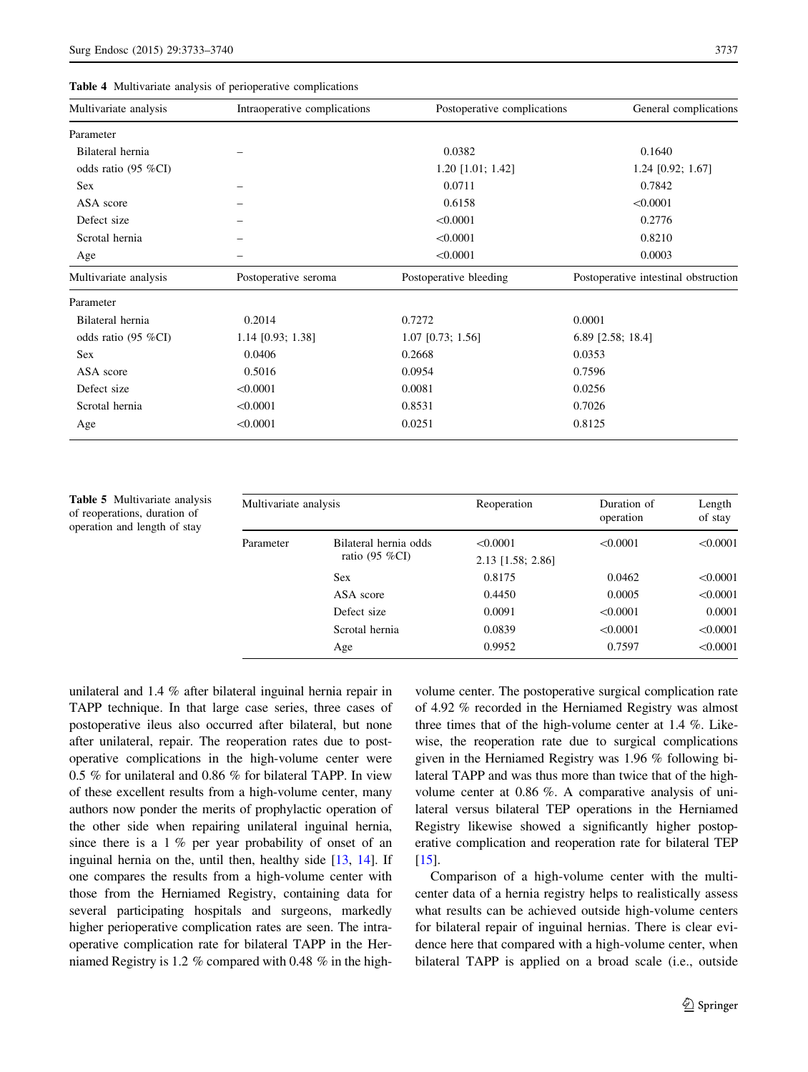<span id="page-4-0"></span>

|  |  |  |  |  | <b>Table 4</b> Multivariate analysis of perioperative complications |
|--|--|--|--|--|---------------------------------------------------------------------|
|--|--|--|--|--|---------------------------------------------------------------------|

| Multivariate analysis | Intraoperative complications | Postoperative complications | General complications                |
|-----------------------|------------------------------|-----------------------------|--------------------------------------|
| Parameter             |                              |                             |                                      |
| Bilateral hernia      |                              | 0.0382                      | 0.1640                               |
| odds ratio (95 %CI)   |                              | 1.20 [1.01; 1.42]           | $1.24$ [0.92; 1.67]                  |
| <b>Sex</b>            |                              | 0.0711                      | 0.7842                               |
| ASA score             |                              | 0.6158                      | < 0.0001                             |
| Defect size           |                              | < 0.0001                    | 0.2776                               |
| Scrotal hernia        |                              | < 0.0001                    | 0.8210                               |
| Age                   |                              | < 0.0001                    | 0.0003                               |
| Multivariate analysis | Postoperative seroma         | Postoperative bleeding      | Postoperative intestinal obstruction |
| Parameter             |                              |                             |                                      |
| Bilateral hernia      | 0.2014                       | 0.7272                      | 0.0001                               |
| odds ratio (95 %CI)   | $1.14$ [0.93; 1.38]          | $1.07$ [0.73; 1.56]         | 6.89 [2.58; 18.4]                    |
| Sex                   | 0.0406                       | 0.2668                      | 0.0353                               |
| ASA score             | 0.5016                       | 0.0954                      | 0.7596                               |
| Defect size           | < 0.0001                     | 0.0081                      | 0.0256                               |
| Scrotal hernia        | < 0.0001                     | 0.8531                      | 0.7026                               |
| Age                   | < 0.0001                     | 0.0251                      | 0.8125                               |

Table 5 Multivariate analysis of reoperations, duration of operation and length of stay

| Multivariate analysis |                       | Reoperation       | Duration of<br>operation | Length<br>of stay |
|-----------------------|-----------------------|-------------------|--------------------------|-------------------|
| Parameter             | Bilateral hernia odds | < 0.0001          | < 0.0001                 | < 0.0001          |
|                       | ratio (95 %CI)        | 2.13 [1.58; 2.86] |                          |                   |
|                       | <b>Sex</b>            | 0.8175            | 0.0462                   | < 0.0001          |
|                       | ASA score             | 0.4450            | 0.0005                   | < 0.0001          |
|                       | Defect size           | 0.0091            | < 0.0001                 | 0.0001            |
|                       | Scrotal hernia        | 0.0839            | < 0.0001                 | < 0.0001          |
|                       | Age                   | 0.9952            | 0.7597                   | < 0.0001          |

unilateral and 1.4 % after bilateral inguinal hernia repair in TAPP technique. In that large case series, three cases of postoperative ileus also occurred after bilateral, but none after unilateral, repair. The reoperation rates due to postoperative complications in the high-volume center were 0.5 % for unilateral and 0.86 % for bilateral TAPP. In view of these excellent results from a high-volume center, many authors now ponder the merits of prophylactic operation of the other side when repairing unilateral inguinal hernia, since there is a 1 % per year probability of onset of an inguinal hernia on the, until then, healthy side [\[13](#page-7-0), [14](#page-7-0)]. If one compares the results from a high-volume center with those from the Herniamed Registry, containing data for several participating hospitals and surgeons, markedly higher perioperative complication rates are seen. The intraoperative complication rate for bilateral TAPP in the Herniamed Registry is 1.2 % compared with 0.48 % in the high-

volume center. The postoperative surgical complication rate of 4.92 % recorded in the Herniamed Registry was almost three times that of the high-volume center at 1.4 %. Likewise, the reoperation rate due to surgical complications given in the Herniamed Registry was 1.96 % following bilateral TAPP and was thus more than twice that of the highvolume center at 0.86 %. A comparative analysis of unilateral versus bilateral TEP operations in the Herniamed Registry likewise showed a significantly higher postoperative complication and reoperation rate for bilateral TEP  $[15]$  $[15]$ .

Comparison of a high-volume center with the multicenter data of a hernia registry helps to realistically assess what results can be achieved outside high-volume centers for bilateral repair of inguinal hernias. There is clear evidence here that compared with a high-volume center, when bilateral TAPP is applied on a broad scale (i.e., outside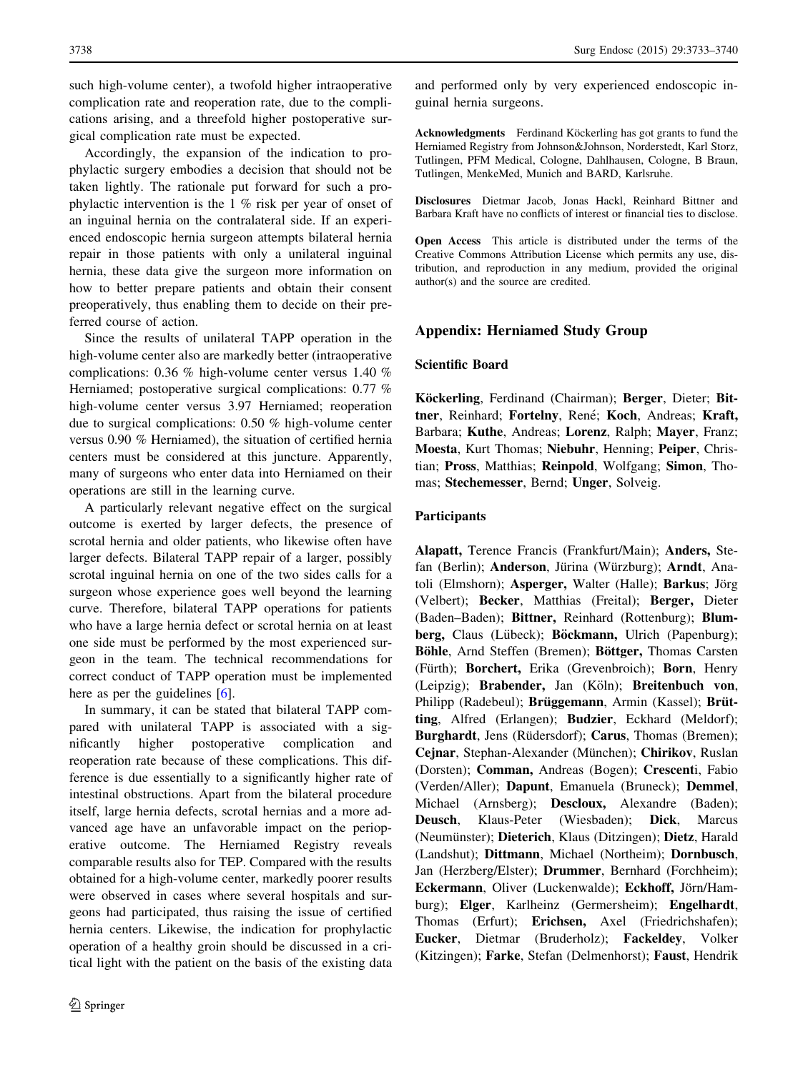such high-volume center), a twofold higher intraoperative complication rate and reoperation rate, due to the complications arising, and a threefold higher postoperative surgical complication rate must be expected.

Accordingly, the expansion of the indication to prophylactic surgery embodies a decision that should not be taken lightly. The rationale put forward for such a prophylactic intervention is the 1 % risk per year of onset of an inguinal hernia on the contralateral side. If an experienced endoscopic hernia surgeon attempts bilateral hernia repair in those patients with only a unilateral inguinal hernia, these data give the surgeon more information on how to better prepare patients and obtain their consent preoperatively, thus enabling them to decide on their preferred course of action.

Since the results of unilateral TAPP operation in the high-volume center also are markedly better (intraoperative complications: 0.36 % high-volume center versus 1.40 % Herniamed; postoperative surgical complications: 0.77 % high-volume center versus 3.97 Herniamed; reoperation due to surgical complications: 0.50 % high-volume center versus 0.90 % Herniamed), the situation of certified hernia centers must be considered at this juncture. Apparently, many of surgeons who enter data into Herniamed on their operations are still in the learning curve.

A particularly relevant negative effect on the surgical outcome is exerted by larger defects, the presence of scrotal hernia and older patients, who likewise often have larger defects. Bilateral TAPP repair of a larger, possibly scrotal inguinal hernia on one of the two sides calls for a surgeon whose experience goes well beyond the learning curve. Therefore, bilateral TAPP operations for patients who have a large hernia defect or scrotal hernia on at least one side must be performed by the most experienced surgeon in the team. The technical recommendations for correct conduct of TAPP operation must be implemented here as per the guidelines [[6\]](#page-7-0).

In summary, it can be stated that bilateral TAPP compared with unilateral TAPP is associated with a significantly higher postoperative complication and reoperation rate because of these complications. This difference is due essentially to a significantly higher rate of intestinal obstructions. Apart from the bilateral procedure itself, large hernia defects, scrotal hernias and a more advanced age have an unfavorable impact on the perioperative outcome. The Herniamed Registry reveals comparable results also for TEP. Compared with the results obtained for a high-volume center, markedly poorer results were observed in cases where several hospitals and surgeons had participated, thus raising the issue of certified hernia centers. Likewise, the indication for prophylactic operation of a healthy groin should be discussed in a critical light with the patient on the basis of the existing data and performed only by very experienced endoscopic inguinal hernia surgeons.

Acknowledgments Ferdinand Köckerling has got grants to fund the Herniamed Registry from Johnson&Johnson, Norderstedt, Karl Storz, Tutlingen, PFM Medical, Cologne, Dahlhausen, Cologne, B Braun, Tutlingen, MenkeMed, Munich and BARD, Karlsruhe.

Disclosures Dietmar Jacob, Jonas Hackl, Reinhard Bittner and Barbara Kraft have no conflicts of interest or financial ties to disclose.

Open Access This article is distributed under the terms of the Creative Commons Attribution License which permits any use, distribution, and reproduction in any medium, provided the original author(s) and the source are credited.

# Appendix: Herniamed Study Group

# Scientific Board

Köckerling, Ferdinand (Chairman); Berger, Dieter; Bittner, Reinhard; Fortelny, René; Koch, Andreas; Kraft, Barbara; Kuthe, Andreas; Lorenz, Ralph; Mayer, Franz; Moesta, Kurt Thomas; Niebuhr, Henning; Peiper, Christian; Pross, Matthias; Reinpold, Wolfgang; Simon, Thomas; Stechemesser, Bernd; Unger, Solveig.

## Participants

Alapatt, Terence Francis (Frankfurt/Main); Anders, Stefan (Berlin); Anderson, Jürina (Würzburg); Arndt, Anatoli (Elmshorn); Asperger, Walter (Halle); Barkus; Jörg (Velbert); Becker, Matthias (Freital); Berger, Dieter (Baden–Baden); Bittner, Reinhard (Rottenburg); Blumberg, Claus (Lübeck); Böckmann, Ulrich (Papenburg); Böhle, Arnd Steffen (Bremen); Böttger, Thomas Carsten (Fürth); Borchert, Erika (Grevenbroich); Born, Henry (Leipzig); Brabender, Jan (Köln); Breitenbuch von, Philipp (Radebeul); Brüggemann, Armin (Kassel); Brütting, Alfred (Erlangen); Budzier, Eckhard (Meldorf); Burghardt, Jens (Rüdersdorf); Carus, Thomas (Bremen); Cejnar, Stephan-Alexander (München); Chirikov, Ruslan (Dorsten); Comman, Andreas (Bogen); Crescenti, Fabio (Verden/Aller); Dapunt, Emanuela (Bruneck); Demmel, Michael (Arnsberg); Descloux, Alexandre (Baden); Deusch, Klaus-Peter (Wiesbaden); Dick, Marcus (Neumünster); Dieterich, Klaus (Ditzingen); Dietz, Harald (Landshut); Dittmann, Michael (Northeim); Dornbusch, Jan (Herzberg/Elster); Drummer, Bernhard (Forchheim); Eckermann, Oliver (Luckenwalde); Eckhoff, Jörn/Hamburg); Elger, Karlheinz (Germersheim); Engelhardt, Thomas (Erfurt); Erichsen, Axel (Friedrichshafen); Eucker, Dietmar (Bruderholz); Fackeldey, Volker (Kitzingen); Farke, Stefan (Delmenhorst); Faust, Hendrik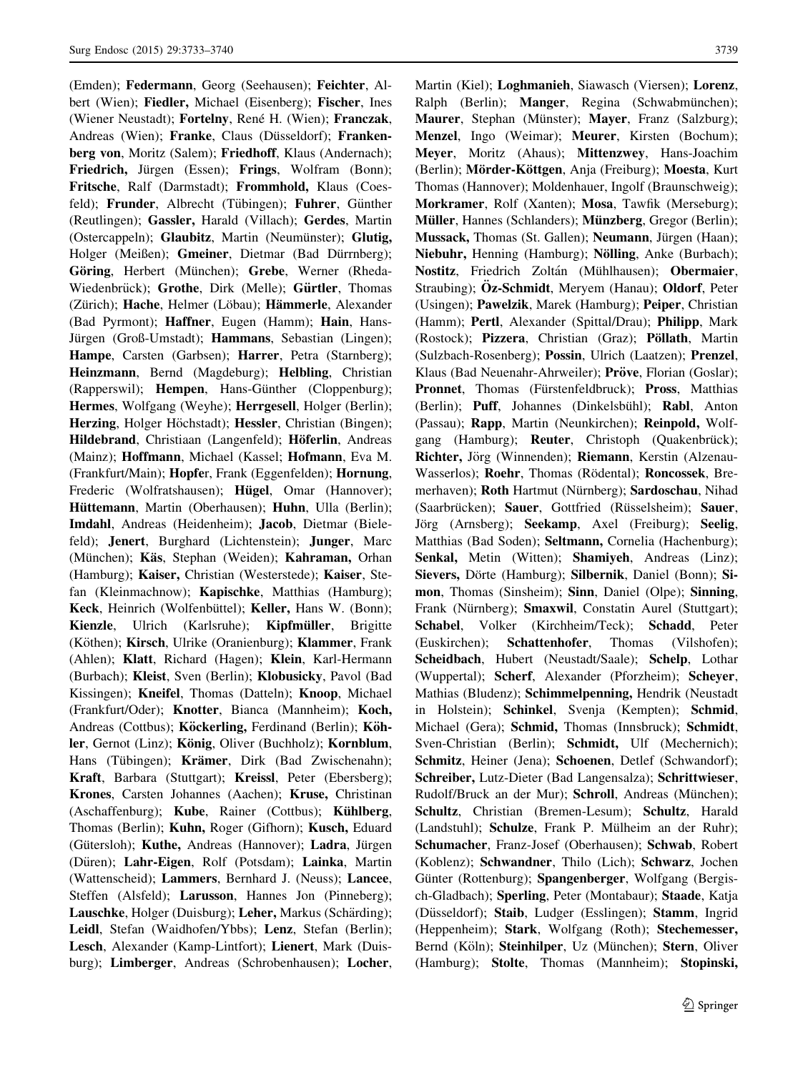(Emden); Federmann, Georg (Seehausen); Feichter, Albert (Wien); Fiedler, Michael (Eisenberg); Fischer, Ines (Wiener Neustadt); Fortelny, René H. (Wien); Franczak, Andreas (Wien); Franke, Claus (Düsseldorf); Frankenberg von, Moritz (Salem); Friedhoff, Klaus (Andernach); Friedrich, Jürgen (Essen); Frings, Wolfram (Bonn); Fritsche, Ralf (Darmstadt); Frommhold, Klaus (Coesfeld); Frunder, Albrecht (Tübingen); Fuhrer, Günther (Reutlingen); Gassler, Harald (Villach); Gerdes, Martin (Ostercappeln); Glaubitz, Martin (Neumünster); Glutig, Holger (Meißen); Gmeiner, Dietmar (Bad Dürrnberg); Göring, Herbert (München); Grebe, Werner (Rheda-Wiedenbrück); Grothe, Dirk (Melle); Gürtler, Thomas (Zürich); Hache, Helmer (Löbau); Hämmerle, Alexander (Bad Pyrmont); Haffner, Eugen (Hamm); Hain, Hans-Jürgen (Groß-Umstadt); Hammans, Sebastian (Lingen); Hampe, Carsten (Garbsen); Harrer, Petra (Starnberg); Heinzmann, Bernd (Magdeburg); Helbling, Christian (Rapperswil): **Hempen**, Hans-Günther (Cloppenburg); Hermes, Wolfgang (Weyhe); Herrgesell, Holger (Berlin); Herzing, Holger Höchstadt); Hessler, Christian (Bingen); Hildebrand, Christiaan (Langenfeld); Höferlin, Andreas (Mainz); Hoffmann, Michael (Kassel; Hofmann, Eva M. (Frankfurt/Main); Hopfer, Frank (Eggenfelden); Hornung, Frederic (Wolfratshausen); Hügel, Omar (Hannover); Hüttemann, Martin (Oberhausen); Huhn, Ulla (Berlin); Imdahl, Andreas (Heidenheim); Jacob, Dietmar (Bielefeld); Jenert, Burghard (Lichtenstein); Junger, Marc (München); Käs, Stephan (Weiden); Kahraman, Orhan (Hamburg); Kaiser, Christian (Westerstede); Kaiser, Stefan (Kleinmachnow); Kapischke, Matthias (Hamburg); Keck, Heinrich (Wolfenbüttel); Keller, Hans W. (Bonn); Kienzle, Ulrich (Karlsruhe); Kipfmüller, Brigitte (Köthen); Kirsch, Ulrike (Oranienburg); Klammer, Frank (Ahlen); Klatt, Richard (Hagen); Klein, Karl-Hermann (Burbach); Kleist, Sven (Berlin); Klobusicky, Pavol (Bad Kissingen); Kneifel, Thomas (Datteln); Knoop, Michael (Frankfurt/Oder); Knotter, Bianca (Mannheim); Koch, Andreas (Cottbus); Köckerling, Ferdinand (Berlin); Köhler, Gernot (Linz); König, Oliver (Buchholz); Kornblum, Hans (Tübingen); Krämer, Dirk (Bad Zwischenahn); Kraft, Barbara (Stuttgart); Kreissl, Peter (Ebersberg); Krones, Carsten Johannes (Aachen); Kruse, Christinan (Aschaffenburg); Kube, Rainer (Cottbus); Kühlberg, Thomas (Berlin); Kuhn, Roger (Gifhorn); Kusch, Eduard (Gütersloh); Kuthe, Andreas (Hannover); Ladra, Jürgen (Düren); Lahr-Eigen, Rolf (Potsdam); Lainka, Martin (Wattenscheid); Lammers, Bernhard J. (Neuss); Lancee, Steffen (Alsfeld); Larusson, Hannes Jon (Pinneberg); Lauschke, Holger (Duisburg); Leher, Markus (Schärding); Leidl, Stefan (Waidhofen/Ybbs); Lenz, Stefan (Berlin); Lesch, Alexander (Kamp-Lintfort); Lienert, Mark (Duisburg); Limberger, Andreas (Schrobenhausen); Locher, Martin (Kiel); Loghmanieh, Siawasch (Viersen); Lorenz, Ralph (Berlin); Manger, Regina (Schwabmünchen); Maurer, Stephan (Münster); Mayer, Franz (Salzburg); Menzel, Ingo (Weimar); Meurer, Kirsten (Bochum); Meyer, Moritz (Ahaus); Mittenzwey, Hans-Joachim (Berlin); Mörder-Köttgen, Anja (Freiburg); Moesta, Kurt Thomas (Hannover); Moldenhauer, Ingolf (Braunschweig); Morkramer, Rolf (Xanten); Mosa, Tawfik (Merseburg); Müller, Hannes (Schlanders); Münzberg, Gregor (Berlin); Mussack, Thomas (St. Gallen); Neumann, Jürgen (Haan); Niebuhr, Henning (Hamburg); Nölling, Anke (Burbach); Nostitz, Friedrich Zoltán (Mühlhausen); Obermaier, Straubing); **Öz-Schmidt**, Meryem (Hanau); **Oldorf**, Peter (Usingen); Pawelzik, Marek (Hamburg); Peiper, Christian (Hamm); Pertl, Alexander (Spittal/Drau); Philipp, Mark (Rostock); Pizzera, Christian (Graz); Pöllath, Martin (Sulzbach-Rosenberg); Possin, Ulrich (Laatzen); Prenzel, Klaus (Bad Neuenahr-Ahrweiler); Pröve, Florian (Goslar); Pronnet, Thomas (Fürstenfeldbruck); Pross, Matthias (Berlin); Puff, Johannes (Dinkelsbühl); Rabl, Anton (Passau); Rapp, Martin (Neunkirchen); Reinpold, Wolfgang (Hamburg); **Reuter**, Christoph (Quakenbrück); Richter, Jörg (Winnenden); Riemann, Kerstin (Alzenau-Wasserlos); Roehr, Thomas (Rödental); Roncossek, Bremerhaven); Roth Hartmut (Nürnberg); Sardoschau, Nihad (Saarbrücken); Sauer, Gottfried (Rüsselsheim); Sauer, Jörg (Arnsberg); Seekamp, Axel (Freiburg); Seelig, Matthias (Bad Soden); Seltmann, Cornelia (Hachenburg); Senkal, Metin (Witten); Shamiyeh, Andreas (Linz); Sievers, Dörte (Hamburg); Silbernik, Daniel (Bonn); Simon, Thomas (Sinsheim); Sinn, Daniel (Olpe); Sinning, Frank (Nürnberg); Smaxwil, Constatin Aurel (Stuttgart); Schabel, Volker (Kirchheim/Teck); Schadd, Peter (Euskirchen); Schattenhofer, Thomas (Vilshofen); Scheidbach, Hubert (Neustadt/Saale); Schelp, Lothar (Wuppertal); Scherf, Alexander (Pforzheim); Scheyer, Mathias (Bludenz); Schimmelpenning, Hendrik (Neustadt in Holstein); Schinkel, Svenja (Kempten); Schmid, Michael (Gera); Schmid, Thomas (Innsbruck); Schmidt, Sven-Christian (Berlin); Schmidt, Ulf (Mechernich); Schmitz, Heiner (Jena); Schoenen, Detlef (Schwandorf); Schreiber, Lutz-Dieter (Bad Langensalza); Schrittwieser, Rudolf/Bruck an der Mur); Schroll, Andreas (München); Schultz, Christian (Bremen-Lesum); Schultz, Harald (Landstuhl); Schulze, Frank P. Mülheim an der Ruhr); Schumacher, Franz-Josef (Oberhausen); Schwab, Robert (Koblenz); Schwandner, Thilo (Lich); Schwarz, Jochen Günter (Rottenburg); Spangenberger, Wolfgang (Bergisch-Gladbach); Sperling, Peter (Montabaur); Staade, Katja (Düsseldorf); Staib, Ludger (Esslingen); Stamm, Ingrid (Heppenheim); Stark, Wolfgang (Roth); Stechemesser, Bernd (Köln); Steinhilper, Uz (München); Stern, Oliver (Hamburg); Stolte, Thomas (Mannheim); Stopinski,